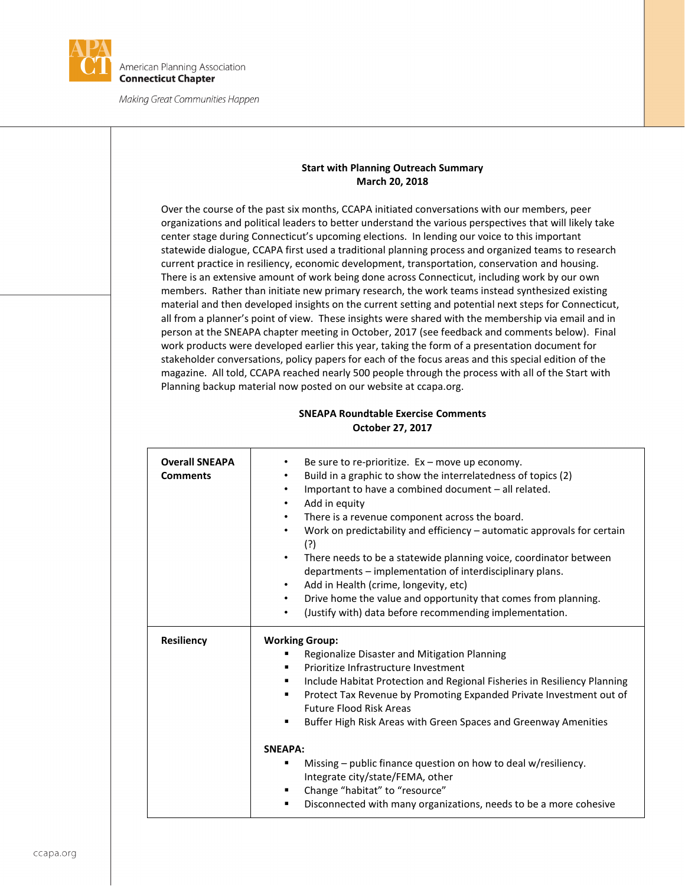

## **Start with Planning Outreach Summary March 20, 2018**

Over the course of the past six months, CCAPA initiated conversations with our members, peer organizations and political leaders to better understand the various perspectives that will likely take center stage during Connecticut's upcoming elections. In lending our voice to this important statewide dialogue, CCAPA first used a traditional planning process and organized teams to research current practice in resiliency, economic development, transportation, conservation and housing. There is an extensive amount of work being done across Connecticut, including work by our own members. Rather than initiate new primary research, the work teams instead synthesized existing material and then developed insights on the current setting and potential next steps for Connecticut, all from a planner's point of view. These insights were shared with the membership via email and in person at the SNEAPA chapter meeting in October, 2017 (see feedback and comments below). Final work products were developed earlier this year, taking the form of a presentation document for stakeholder conversations, policy papers for each of the focus areas and this special edition of the magazine. All told, CCAPA reached nearly 500 people through the process with all of the Start with Planning backup material now posted on our website at ccapa.org.

| <b>Overall SNEAPA</b><br><b>Comments</b> | Be sure to re-prioritize. $Ex - move$ up economy.<br>$\bullet$<br>Build in a graphic to show the interrelatedness of topics (2)<br>$\bullet$<br>Important to have a combined document - all related.<br>Add in equity<br>$\bullet$<br>There is a revenue component across the board.<br>$\bullet$<br>Work on predictability and efficiency $-$ automatic approvals for certain<br>(?)<br>There needs to be a statewide planning voice, coordinator between<br>$\bullet$<br>departments - implementation of interdisciplinary plans.<br>Add in Health (crime, longevity, etc)<br>$\bullet$<br>Drive home the value and opportunity that comes from planning.<br>$\bullet$<br>$\bullet$ |
|------------------------------------------|---------------------------------------------------------------------------------------------------------------------------------------------------------------------------------------------------------------------------------------------------------------------------------------------------------------------------------------------------------------------------------------------------------------------------------------------------------------------------------------------------------------------------------------------------------------------------------------------------------------------------------------------------------------------------------------|
| <b>Resiliency</b>                        | (Justify with) data before recommending implementation.<br><b>Working Group:</b><br>Regionalize Disaster and Mitigation Planning<br>Prioritize Infrastructure Investment<br>٠<br>Include Habitat Protection and Regional Fisheries in Resiliency Planning<br>Protect Tax Revenue by Promoting Expanded Private Investment out of<br>٠<br><b>Future Flood Risk Areas</b>                                                                                                                                                                                                                                                                                                               |
|                                          | Buffer High Risk Areas with Green Spaces and Greenway Amenities<br>٠<br>SNEAPA:<br>Missing – public finance question on how to deal w/resiliency.<br>٠<br>Integrate city/state/FEMA, other<br>Change "habitat" to "resource"<br>٠<br>Disconnected with many organizations, needs to be a more cohesive                                                                                                                                                                                                                                                                                                                                                                                |

## **SNEAPA Roundtable Exercise Comments October 27, 2017**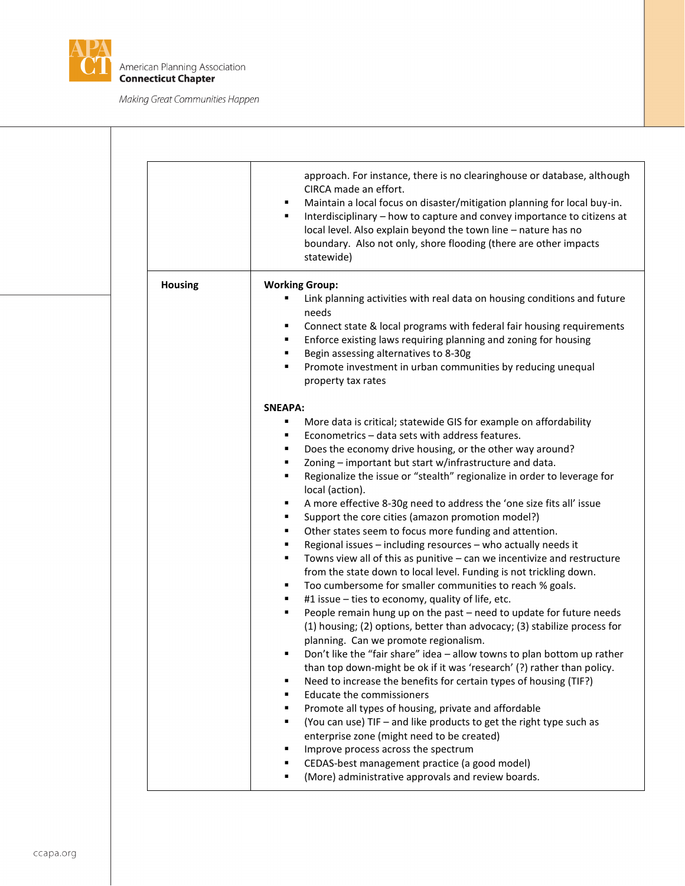

|                | approach. For instance, there is no clearinghouse or database, although<br>CIRCA made an effort.<br>Maintain a local focus on disaster/mitigation planning for local buy-in.<br>Interdisciplinary - how to capture and convey importance to citizens at<br>٠<br>local level. Also explain beyond the town line - nature has no<br>boundary. Also not only, shore flooding (there are other impacts<br>statewide)                                                                                                                                                                                                                                                                                                                                                                                                                                                                                                                                                                                                                                                                                                                                                                                                                                                                                                                                                                                                                                                                                                                   |
|----------------|------------------------------------------------------------------------------------------------------------------------------------------------------------------------------------------------------------------------------------------------------------------------------------------------------------------------------------------------------------------------------------------------------------------------------------------------------------------------------------------------------------------------------------------------------------------------------------------------------------------------------------------------------------------------------------------------------------------------------------------------------------------------------------------------------------------------------------------------------------------------------------------------------------------------------------------------------------------------------------------------------------------------------------------------------------------------------------------------------------------------------------------------------------------------------------------------------------------------------------------------------------------------------------------------------------------------------------------------------------------------------------------------------------------------------------------------------------------------------------------------------------------------------------|
| <b>Housing</b> | <b>Working Group:</b>                                                                                                                                                                                                                                                                                                                                                                                                                                                                                                                                                                                                                                                                                                                                                                                                                                                                                                                                                                                                                                                                                                                                                                                                                                                                                                                                                                                                                                                                                                              |
|                | Link planning activities with real data on housing conditions and future<br>needs<br>Connect state & local programs with federal fair housing requirements<br>٠<br>Enforce existing laws requiring planning and zoning for housing<br>Begin assessing alternatives to 8-30g<br>Promote investment in urban communities by reducing unequal<br>property tax rates                                                                                                                                                                                                                                                                                                                                                                                                                                                                                                                                                                                                                                                                                                                                                                                                                                                                                                                                                                                                                                                                                                                                                                   |
|                | <b>SNEAPA:</b>                                                                                                                                                                                                                                                                                                                                                                                                                                                                                                                                                                                                                                                                                                                                                                                                                                                                                                                                                                                                                                                                                                                                                                                                                                                                                                                                                                                                                                                                                                                     |
|                | More data is critical; statewide GIS for example on affordability<br>Econometrics - data sets with address features.<br>Does the economy drive housing, or the other way around?<br>Zoning - important but start w/infrastructure and data.<br>Regionalize the issue or "stealth" regionalize in order to leverage for<br>local (action).<br>A more effective 8-30g need to address the 'one size fits all' issue<br>٠<br>Support the core cities (amazon promotion model?)<br>Other states seem to focus more funding and attention.<br>٠<br>Regional issues - including resources - who actually needs it<br>Towns view all of this as punitive - can we incentivize and restructure<br>٠<br>from the state down to local level. Funding is not trickling down.<br>Too cumbersome for smaller communities to reach % goals.<br>٠<br>#1 issue - ties to economy, quality of life, etc.<br>٠<br>People remain hung up on the past - need to update for future needs<br>٠<br>(1) housing; (2) options, better than advocacy; (3) stabilize process for<br>planning. Can we promote regionalism.<br>Don't like the "fair share" idea - allow towns to plan bottom up rather<br>than top down-might be ok if it was 'research' (?) rather than policy.<br>Need to increase the benefits for certain types of housing (TIF?)<br>Educate the commissioners<br>Promote all types of housing, private and affordable<br>(You can use) TIF - and like products to get the right type such as<br>enterprise zone (might need to be created) |
|                | Improve process across the spectrum<br>CEDAS-best management practice (a good model)                                                                                                                                                                                                                                                                                                                                                                                                                                                                                                                                                                                                                                                                                                                                                                                                                                                                                                                                                                                                                                                                                                                                                                                                                                                                                                                                                                                                                                               |
|                | (More) administrative approvals and review boards.                                                                                                                                                                                                                                                                                                                                                                                                                                                                                                                                                                                                                                                                                                                                                                                                                                                                                                                                                                                                                                                                                                                                                                                                                                                                                                                                                                                                                                                                                 |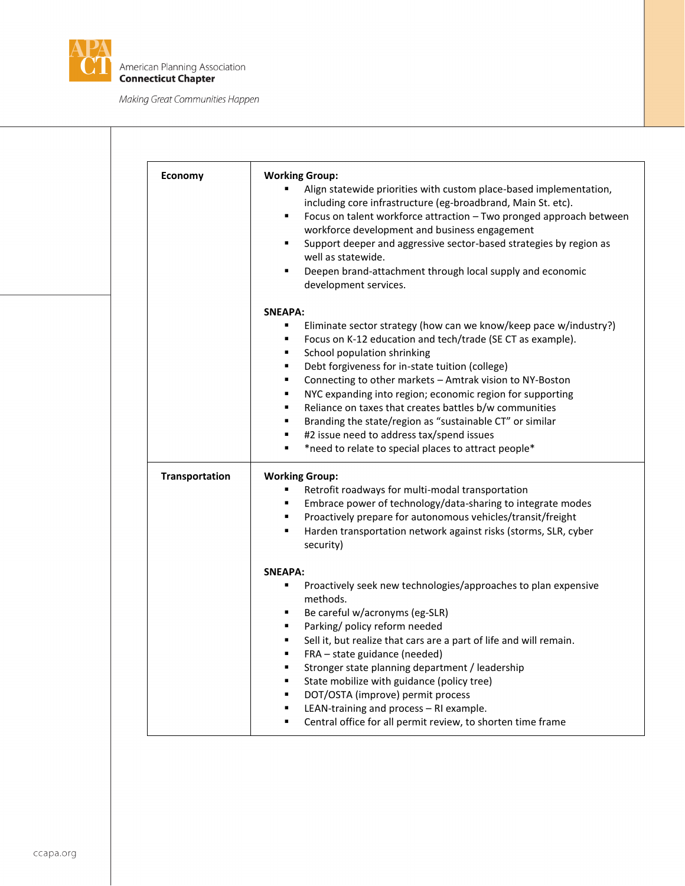

| Economy        | <b>Working Group:</b><br>Align statewide priorities with custom place-based implementation,<br>including core infrastructure (eg-broadbrand, Main St. etc).<br>Focus on talent workforce attraction - Two pronged approach between<br>٠<br>workforce development and business engagement<br>Support deeper and aggressive sector-based strategies by region as<br>٠<br>well as statewide.<br>Deepen brand-attachment through local supply and economic<br>٠<br>development services.                                                                                                                                            |
|----------------|---------------------------------------------------------------------------------------------------------------------------------------------------------------------------------------------------------------------------------------------------------------------------------------------------------------------------------------------------------------------------------------------------------------------------------------------------------------------------------------------------------------------------------------------------------------------------------------------------------------------------------|
|                | <b>SNEAPA:</b><br>Eliminate sector strategy (how can we know/keep pace w/industry?)<br>Focus on K-12 education and tech/trade (SE CT as example).<br>٠<br>School population shrinking<br>٠<br>Debt forgiveness for in-state tuition (college)<br>٠<br>Connecting to other markets - Amtrak vision to NY-Boston<br>٠<br>NYC expanding into region; economic region for supporting<br>٠<br>Reliance on taxes that creates battles b/w communities<br>٠<br>Branding the state/region as "sustainable CT" or similar<br>٠<br>#2 issue need to address tax/spend issues<br>٠<br>*need to relate to special places to attract people* |
| Transportation | <b>Working Group:</b><br>Retrofit roadways for multi-modal transportation<br>٠<br>Embrace power of technology/data-sharing to integrate modes<br>٠<br>Proactively prepare for autonomous vehicles/transit/freight<br>٠<br>Harden transportation network against risks (storms, SLR, cyber<br>٠<br>security)                                                                                                                                                                                                                                                                                                                     |
|                | <b>SNEAPA:</b><br>Proactively seek new technologies/approaches to plan expensive<br>٠<br>methods.<br>Be careful w/acronyms (eg-SLR)<br>Parking/ policy reform needed<br>Sell it, but realize that cars are a part of life and will remain.<br>FRA - state guidance (needed)<br>Stronger state planning department / leadership<br>State mobilize with guidance (policy tree)<br>DOT/OSTA (improve) permit process<br>LEAN-training and process - RI example.<br>Central office for all permit review, to shorten time frame                                                                                                     |